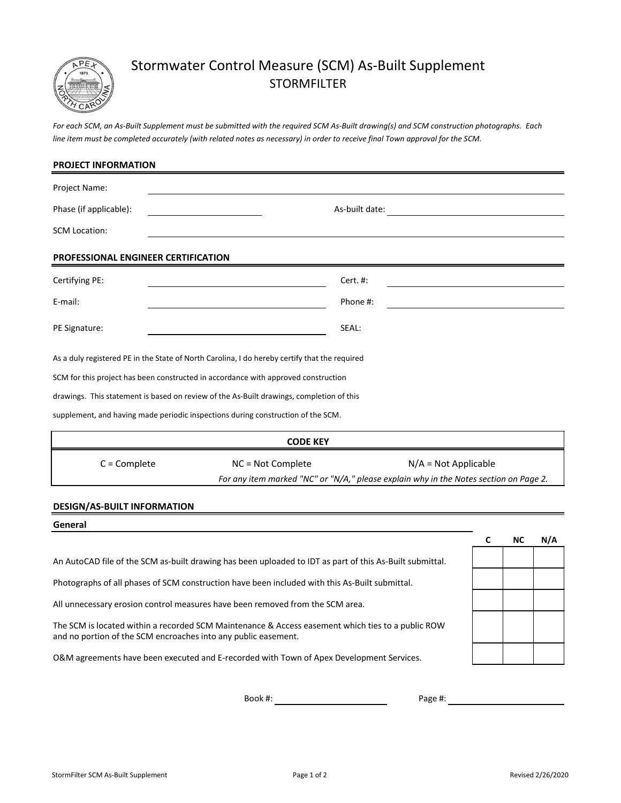

# Stormwater Control Measure (SCM) As-Built Supplement STORMFILTER

*For each SCM, an As-Built Supplement must be submitted with the required SCM As-Built drawing(s) and SCM construction photographs. Each line item must be completed accurately (with related notes as necessary) in order to receive final Town approval for the SCM.*

| <b>PROJECT INFORMATION</b>          |                                                                                               |                                                                                       |  |  |  |
|-------------------------------------|-----------------------------------------------------------------------------------------------|---------------------------------------------------------------------------------------|--|--|--|
| Project Name:                       |                                                                                               |                                                                                       |  |  |  |
| Phase (if applicable):              | As-built date:                                                                                |                                                                                       |  |  |  |
| <b>SCM Location:</b>                |                                                                                               |                                                                                       |  |  |  |
| PROFESSIONAL ENGINEER CERTIFICATION |                                                                                               |                                                                                       |  |  |  |
| Certifying PE:                      | Cert. #:                                                                                      |                                                                                       |  |  |  |
| E-mail:                             | Phone #:                                                                                      |                                                                                       |  |  |  |
| PE Signature:                       | SEAL:                                                                                         |                                                                                       |  |  |  |
|                                     | As a duly registered PE in the State of North Carolina, I do hereby certify that the required |                                                                                       |  |  |  |
|                                     | SCM for this project has been constructed in accordance with approved construction            |                                                                                       |  |  |  |
|                                     | drawings. This statement is based on review of the As-Built drawings, completion of this      |                                                                                       |  |  |  |
|                                     | supplement, and having made periodic inspections during construction of the SCM.              |                                                                                       |  |  |  |
|                                     | <b>CODE KEY</b>                                                                               |                                                                                       |  |  |  |
| $C =$ Complete                      | NC = Not Complete                                                                             | $N/A = Not Applicable$                                                                |  |  |  |
|                                     |                                                                                               | For any item marked "NC" or "N/A," please explain why in the Notes section on Page 2. |  |  |  |
| DESIGN/AS_RHILT INEOPMATION         |                                                                                               |                                                                                       |  |  |  |

## **DESIGN/AS-BUILT INFORMATION**

# **C NC N/A** Photographs of all phases of SCM construction have been included with this As-Built submittal. **General** An AutoCAD file of the SCM as-built drawing has been uploaded to IDT as part of this As-Built submittal. All unnecessary erosion control measures have been removed from the SCM area. O&M agreements have been executed and E-recorded with Town of Apex Development Services. The SCM is located within a recorded SCM Maintenance & Access easement which ties to a public ROW and no portion of the SCM encroaches into any public easement.

Book #:

Page #: